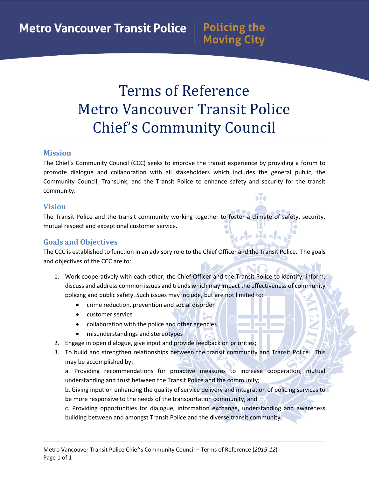# Terms of Reference Metro Vancouver Transit Police Chief's Community Council

#### **Mission**

The Chief's Community Council (CCC) seeks to improve the transit experience by providing a forum to promote dialogue and collaboration with all stakeholders which includes the general public, the Community Council, TransLink, and the Transit Police to enhance safety and security for the transit community.

#### **Vision**

The Transit Police and the transit community working together to foster a climate of safety, security, mutual respect and exceptional customer service.  $\mathbf{L}$  of  $\mathbf{L}$ 

# **Goals and Objectives**

The CCC is established to function in an advisory role to the Chief Officer and the Transit Police. The goals and objectives of the CCC are to:

- 1. Work cooperatively with each other, the Chief Officer and the Transit Police to identify, inform, discuss and address common issues and trends which may impact the effectiveness of community policing and public safety. Such issues may include, but are not limited to:
	- crime reduction, prevention and social disorder
	- **•** customer service
	- collaboration with the police and other agencies
	- misunderstandings and stereotypes
- 2. Engage in open dialogue, give input and provide feedback on priorities;
- 3. To build and strengthen relationships between the transit community and Transit Police. This may be accomplished by:

a. Providing recommendations for proactive measures to increase cooperation, mutual understanding and trust between the Transit Police and the community;

b. Giving input on enhancing the quality of service delivery and integration of policing services to be more responsive to the needs of the transportation community; and

c. Providing opportunities for dialogue, information exchange, understanding and awareness building between and amongst Transit Police and the diverse transit community.

**\_\_\_\_\_\_\_\_\_\_\_\_\_\_\_\_\_\_\_\_\_\_\_\_\_\_\_\_\_\_\_\_\_\_\_\_\_\_\_\_\_\_\_\_\_\_\_\_\_\_\_\_\_\_\_\_\_\_\_\_\_\_\_\_\_\_\_\_\_\_\_\_\_\_\_\_\_\_\_\_\_\_\_\_\_\_\_\_\_**